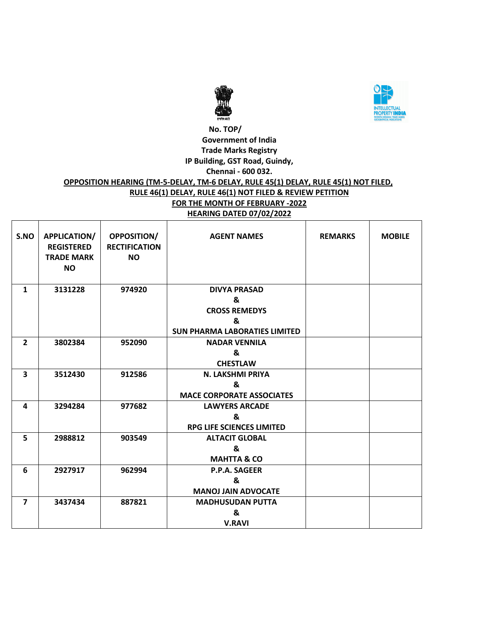



#### **No. TOP/ Government of India Trade Marks Registry IP Building, GST Road, Guindy, Chennai - 600 032.**

# **OPPOSITION HEARING (TM-5-DELAY, TM-6 DELAY, RULE 45(1) DELAY, RULE 45(1) NOT FILED, RULE 46(1) DELAY, RULE 46(1) NOT FILED & REVIEW PETITION FOR THE MONTH OF FEBRUARY -2022 HEARING DATED 07/02/2022**

| S.NO                    | APPLICATION/<br><b>REGISTERED</b><br><b>TRADE MARK</b><br><b>NO</b> | <b>OPPOSITION/</b><br><b>RECTIFICATION</b><br><b>NO</b> | <b>AGENT NAMES</b>                   | <b>REMARKS</b> | <b>MOBILE</b> |
|-------------------------|---------------------------------------------------------------------|---------------------------------------------------------|--------------------------------------|----------------|---------------|
| $\mathbf{1}$            | 3131228                                                             | 974920                                                  | <b>DIVYA PRASAD</b>                  |                |               |
|                         |                                                                     |                                                         | &                                    |                |               |
|                         |                                                                     |                                                         | <b>CROSS REMEDYS</b>                 |                |               |
|                         |                                                                     |                                                         | &                                    |                |               |
|                         |                                                                     |                                                         | <b>SUN PHARMA LABORATIES LIMITED</b> |                |               |
| $\overline{2}$          | 3802384                                                             | 952090                                                  | <b>NADAR VENNILA</b>                 |                |               |
|                         |                                                                     |                                                         | &                                    |                |               |
|                         |                                                                     |                                                         | <b>CHESTLAW</b>                      |                |               |
| $\overline{\mathbf{3}}$ | 3512430                                                             | 912586                                                  | N. LAKSHMI PRIYA                     |                |               |
|                         |                                                                     |                                                         | &                                    |                |               |
|                         |                                                                     |                                                         | <b>MACE CORPORATE ASSOCIATES</b>     |                |               |
| 4                       | 3294284                                                             | 977682                                                  | <b>LAWYERS ARCADE</b>                |                |               |
|                         |                                                                     |                                                         | &                                    |                |               |
|                         |                                                                     |                                                         | <b>RPG LIFE SCIENCES LIMITED</b>     |                |               |
| 5                       | 2988812                                                             | 903549                                                  | <b>ALTACIT GLOBAL</b>                |                |               |
|                         |                                                                     |                                                         | &                                    |                |               |
|                         |                                                                     |                                                         | <b>MAHTTA &amp; CO</b>               |                |               |
| 6                       | 2927917                                                             | 962994                                                  | P.P.A. SAGEER                        |                |               |
|                         |                                                                     |                                                         | &                                    |                |               |
|                         |                                                                     |                                                         | <b>MANOJ JAIN ADVOCATE</b>           |                |               |
| $\overline{7}$          | 3437434                                                             | 887821                                                  | <b>MADHUSUDAN PUTTA</b>              |                |               |
|                         |                                                                     |                                                         | &                                    |                |               |
|                         |                                                                     |                                                         | <b>V.RAVI</b>                        |                |               |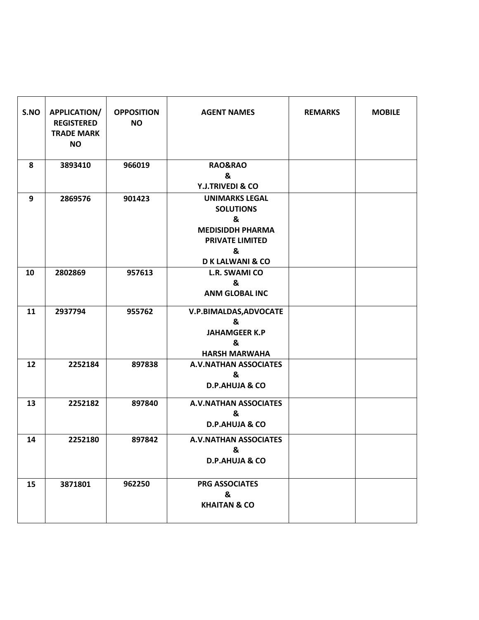| S.NO | <b>APPLICATION/</b><br><b>REGISTERED</b><br><b>TRADE MARK</b><br><b>NO</b> | <b>OPPOSITION</b><br><b>NO</b> | <b>AGENT NAMES</b>                                                                                                                     | <b>REMARKS</b> | <b>MOBILE</b> |
|------|----------------------------------------------------------------------------|--------------------------------|----------------------------------------------------------------------------------------------------------------------------------------|----------------|---------------|
| 8    | 3893410                                                                    | 966019                         | <b>RAO&amp;RAO</b><br>&<br>Y.J.TRIVEDI & CO                                                                                            |                |               |
| 9    | 2869576                                                                    | 901423                         | <b>UNIMARKS LEGAL</b><br><b>SOLUTIONS</b><br>&<br><b>MEDISIDDH PHARMA</b><br><b>PRIVATE LIMITED</b><br>&<br><b>DK LALWANI &amp; CO</b> |                |               |
| 10   | 2802869                                                                    | 957613                         | L.R. SWAMI CO<br>&<br><b>ANM GLOBAL INC</b>                                                                                            |                |               |
| 11   | 2937794                                                                    | 955762                         | V.P.BIMALDAS, ADVOCATE<br>&<br><b>JAHAMGEER K.P</b><br>&<br><b>HARSH MARWAHA</b>                                                       |                |               |
| 12   | 2252184                                                                    | 897838                         | <b>A.V.NATHAN ASSOCIATES</b><br>&<br><b>D.P.AHUJA &amp; CO</b>                                                                         |                |               |
| 13   | 2252182                                                                    | 897840                         | <b>A.V.NATHAN ASSOCIATES</b><br>&<br><b>D.P.AHUJA &amp; CO</b>                                                                         |                |               |
| 14   | 2252180                                                                    | 897842                         | <b>A.V.NATHAN ASSOCIATES</b><br>&<br><b>D.P.AHUJA &amp; CO</b>                                                                         |                |               |
| 15   | 3871801                                                                    | 962250                         | <b>PRG ASSOCIATES</b><br>&<br><b>KHAITAN &amp; CO</b>                                                                                  |                |               |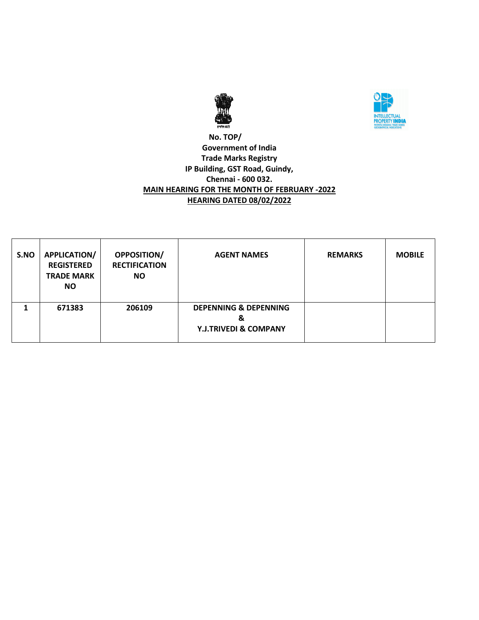



### **No. TOP/ Government of India Trade Marks Registry IP Building, GST Road, Guindy, Chennai - 600 032. MAIN HEARING FOR THE MONTH OF FEBRUARY -2022 HEARING DATED 08/02/2022**

| S.NO | <b>APPLICATION/</b><br><b>REGISTERED</b><br><b>TRADE MARK</b><br><b>NO</b> | <b>OPPOSITION/</b><br><b>RECTIFICATION</b><br><b>NO</b> | <b>AGENT NAMES</b>                                                        | <b>REMARKS</b> | <b>MOBILE</b> |
|------|----------------------------------------------------------------------------|---------------------------------------------------------|---------------------------------------------------------------------------|----------------|---------------|
|      | 671383                                                                     | 206109                                                  | <b>DEPENNING &amp; DEPENNING</b><br>&<br><b>Y.J.TRIVEDI &amp; COMPANY</b> |                |               |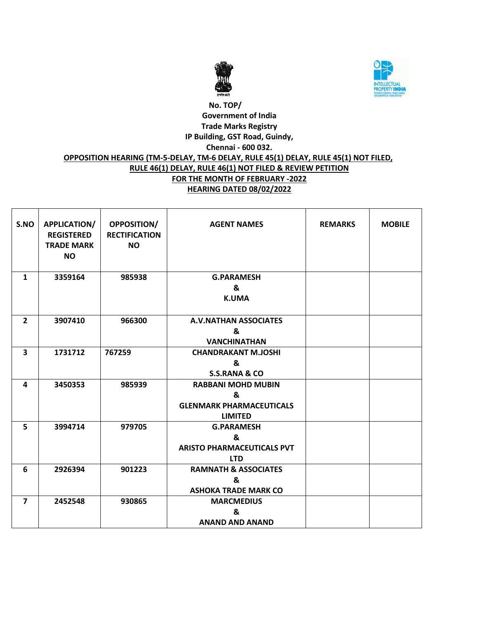



# **No. TOP/ Government of India Trade Marks Registry IP Building, GST Road, Guindy, Chennai - 600 032. OPPOSITION HEARING (TM-5-DELAY, TM-6 DELAY, RULE 45(1) DELAY, RULE 45(1) NOT FILED, RULE 46(1) DELAY, RULE 46(1) NOT FILED & REVIEW PETITION FOR THE MONTH OF FEBRUARY -2022 HEARING DATED 08/02/2022**

| S.NO                    | APPLICATION/<br><b>REGISTERED</b><br><b>TRADE MARK</b><br><b>NO</b> | <b>OPPOSITION/</b><br><b>RECTIFICATION</b><br><b>NO</b> | <b>AGENT NAMES</b>                              | <b>REMARKS</b> | <b>MOBILE</b> |
|-------------------------|---------------------------------------------------------------------|---------------------------------------------------------|-------------------------------------------------|----------------|---------------|
| $\mathbf{1}$            | 3359164                                                             | 985938                                                  | <b>G.PARAMESH</b><br>&                          |                |               |
|                         |                                                                     |                                                         | <b>K.UMA</b>                                    |                |               |
|                         |                                                                     |                                                         |                                                 |                |               |
| $\overline{2}$          | 3907410                                                             | 966300                                                  | <b>A.V.NATHAN ASSOCIATES</b>                    |                |               |
|                         |                                                                     |                                                         | &                                               |                |               |
|                         |                                                                     |                                                         | <b>VANCHINATHAN</b>                             |                |               |
| $\overline{\mathbf{3}}$ | 1731712                                                             | 767259                                                  | <b>CHANDRAKANT M.JOSHI</b>                      |                |               |
|                         |                                                                     |                                                         | &                                               |                |               |
|                         |                                                                     |                                                         | <b>S.S.RANA &amp; CO</b>                        |                |               |
| 4                       | 3450353                                                             | 985939                                                  | <b>RABBANI MOHD MUBIN</b>                       |                |               |
|                         |                                                                     |                                                         | &                                               |                |               |
|                         |                                                                     |                                                         | <b>GLENMARK PHARMACEUTICALS</b>                 |                |               |
|                         |                                                                     |                                                         | <b>LIMITED</b>                                  |                |               |
| 5                       | 3994714                                                             | 979705                                                  | <b>G.PARAMESH</b>                               |                |               |
|                         |                                                                     |                                                         | &                                               |                |               |
|                         |                                                                     |                                                         | <b>ARISTO PHARMACEUTICALS PVT</b><br><b>LTD</b> |                |               |
| 6                       | 2926394                                                             | 901223                                                  | <b>RAMNATH &amp; ASSOCIATES</b>                 |                |               |
|                         |                                                                     |                                                         | &                                               |                |               |
|                         |                                                                     |                                                         | <b>ASHOKA TRADE MARK CO</b>                     |                |               |
| $\overline{7}$          | 2452548                                                             | 930865                                                  | <b>MARCMEDIUS</b>                               |                |               |
|                         |                                                                     |                                                         | ጼ                                               |                |               |
|                         |                                                                     |                                                         | <b>ANAND AND ANAND</b>                          |                |               |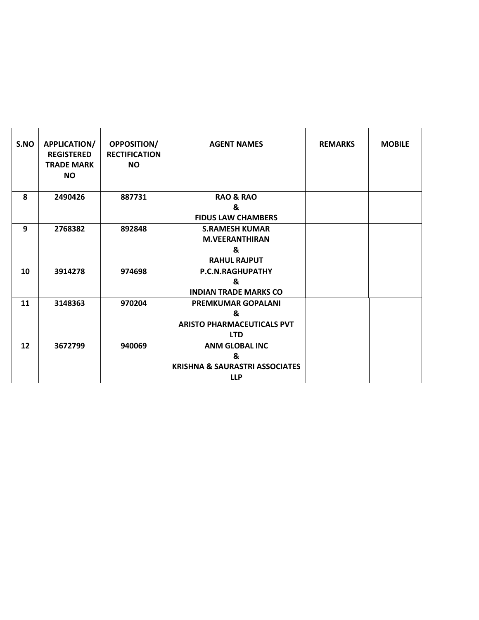| S.NO | APPLICATION/<br><b>REGISTERED</b><br><b>TRADE MARK</b><br><b>NO</b> | OPPOSITION/<br><b>RECTIFICATION</b><br><b>NO</b> | <b>AGENT NAMES</b>                        | <b>REMARKS</b> | <b>MOBILE</b> |
|------|---------------------------------------------------------------------|--------------------------------------------------|-------------------------------------------|----------------|---------------|
| 8    | 2490426                                                             | 887731                                           | <b>RAO &amp; RAO</b>                      |                |               |
|      |                                                                     |                                                  | &<br><b>FIDUS LAW CHAMBERS</b>            |                |               |
| 9    | 2768382                                                             | 892848                                           | <b>S.RAMESH KUMAR</b>                     |                |               |
|      |                                                                     |                                                  | <b>M.VEERANTHIRAN</b>                     |                |               |
|      |                                                                     |                                                  | &                                         |                |               |
|      |                                                                     |                                                  | <b>RAHUL RAJPUT</b>                       |                |               |
| 10   | 3914278                                                             | 974698                                           | P.C.N.RAGHUPATHY                          |                |               |
|      |                                                                     |                                                  | &                                         |                |               |
|      |                                                                     |                                                  | <b>INDIAN TRADE MARKS CO</b>              |                |               |
| 11   | 3148363                                                             | 970204                                           | <b>PREMKUMAR GOPALANI</b><br>&            |                |               |
|      |                                                                     |                                                  | <b>ARISTO PHARMACEUTICALS PVT</b>         |                |               |
|      |                                                                     |                                                  | <b>LTD</b>                                |                |               |
| 12   | 3672799                                                             | 940069                                           | <b>ANM GLOBAL INC</b>                     |                |               |
|      |                                                                     |                                                  | &                                         |                |               |
|      |                                                                     |                                                  | <b>KRISHNA &amp; SAURASTRI ASSOCIATES</b> |                |               |
|      |                                                                     |                                                  | <b>LLP</b>                                |                |               |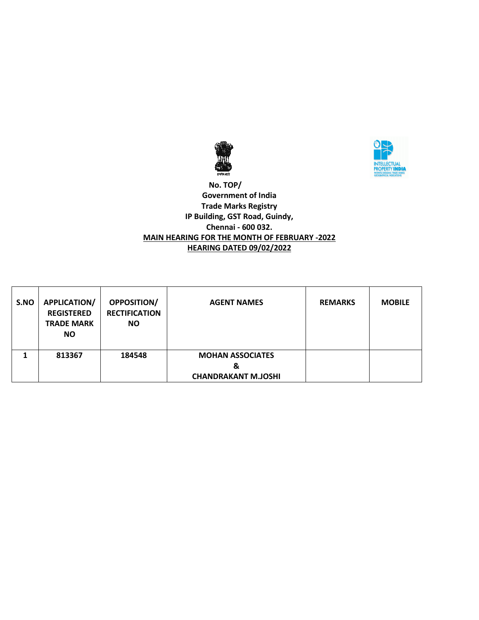



 **No. TOP/ Government of India Trade Marks Registry IP Building, GST Road, Guindy, Chennai - 600 032. MAIN HEARING FOR THE MONTH OF FEBRUARY -2022 HEARING DATED 09/02/2022**

| S.NO | <b>APPLICATION/</b><br><b>REGISTERED</b><br><b>TRADE MARK</b><br><b>NO</b> | <b>OPPOSITION/</b><br><b>RECTIFICATION</b><br><b>NO</b> | <b>AGENT NAMES</b>                                         | <b>REMARKS</b> | <b>MOBILE</b> |
|------|----------------------------------------------------------------------------|---------------------------------------------------------|------------------------------------------------------------|----------------|---------------|
|      | 813367                                                                     | 184548                                                  | <b>MOHAN ASSOCIATES</b><br>&<br><b>CHANDRAKANT M.JOSHI</b> |                |               |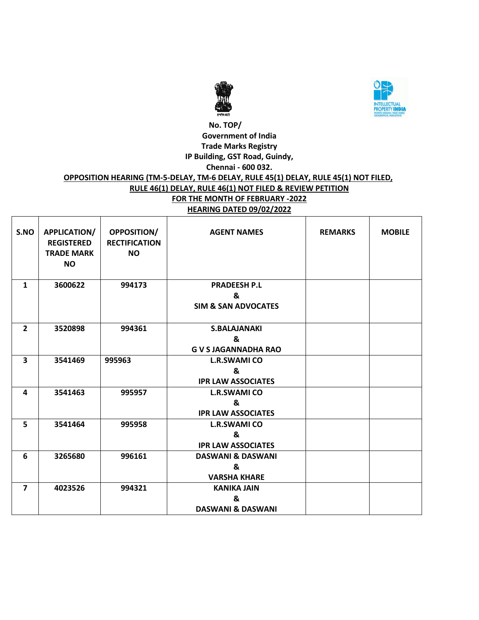



#### **No. TOP/ Government of India Trade Marks Registry IP Building, GST Road, Guindy, Chennai - 600 032. OPPOSITION HEARING (TM-5-DELAY, TM-6 DELAY, RULE 45(1) DELAY, RULE 45(1) NOT FILED, RULE 46(1) DELAY, RULE 46(1) NOT FILED & REVIEW PETITION FOR THE MONTH OF FEBRUARY -2022 HEARING DATED 09/02/2022**

| S.NO           | APPLICATION/<br><b>REGISTERED</b><br><b>TRADE MARK</b><br><b>NO</b> | <b>OPPOSITION/</b><br><b>RECTIFICATION</b><br><b>NO</b> | <b>AGENT NAMES</b>                                         | <b>REMARKS</b> | <b>MOBILE</b> |
|----------------|---------------------------------------------------------------------|---------------------------------------------------------|------------------------------------------------------------|----------------|---------------|
| $\mathbf{1}$   | 3600622                                                             | 994173                                                  | <b>PRADEESH P.L</b><br>&<br><b>SIM &amp; SAN ADVOCATES</b> |                |               |
| $\overline{2}$ | 3520898                                                             | 994361                                                  | <b>S.BALAJANAKI</b><br>&<br><b>G V S JAGANNADHA RAO</b>    |                |               |
| 3              | 3541469                                                             | 995963                                                  | <b>L.R.SWAMI CO</b><br>&<br><b>IPR LAW ASSOCIATES</b>      |                |               |
| 4              | 3541463                                                             | 995957                                                  | <b>L.R.SWAMI CO</b><br>&<br><b>IPR LAW ASSOCIATES</b>      |                |               |
| 5              | 3541464                                                             | 995958                                                  | <b>L.R.SWAMI CO</b><br>&<br><b>IPR LAW ASSOCIATES</b>      |                |               |
| 6              | 3265680                                                             | 996161                                                  | <b>DASWANI &amp; DASWANI</b><br>&<br><b>VARSHA KHARE</b>   |                |               |
| $\overline{7}$ | 4023526                                                             | 994321                                                  | <b>KANIKA JAIN</b><br>&<br><b>DASWANI &amp; DASWANI</b>    |                |               |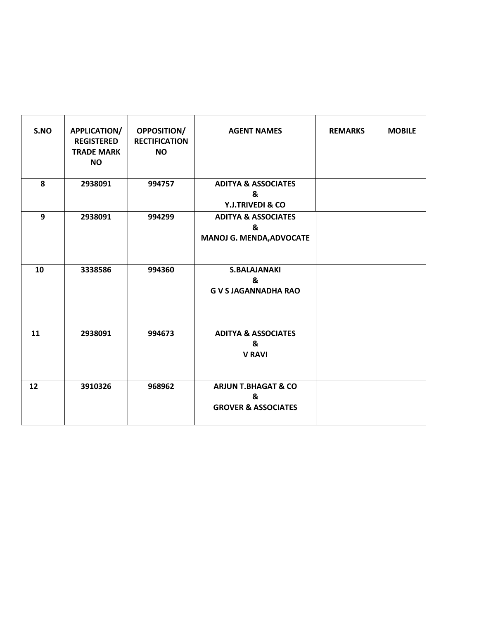| S.NO | <b>APPLICATION/</b><br><b>REGISTERED</b><br><b>TRADE MARK</b><br><b>NO</b> | <b>OPPOSITION/</b><br><b>RECTIFICATION</b><br><b>NO</b> | <b>AGENT NAMES</b>                                                     | <b>REMARKS</b> | <b>MOBILE</b> |
|------|----------------------------------------------------------------------------|---------------------------------------------------------|------------------------------------------------------------------------|----------------|---------------|
| 8    | 2938091                                                                    | 994757                                                  | <b>ADITYA &amp; ASSOCIATES</b><br>&<br>Y.J.TRIVEDI & CO                |                |               |
| 9    | 2938091                                                                    | 994299                                                  | <b>ADITYA &amp; ASSOCIATES</b><br>&<br><b>MANOJ G. MENDA, ADVOCATE</b> |                |               |
| 10   | 3338586                                                                    | 994360                                                  | <b>S.BALAJANAKI</b><br>&<br><b>G V S JAGANNADHA RAO</b>                |                |               |
| 11   | 2938091                                                                    | 994673                                                  | <b>ADITYA &amp; ASSOCIATES</b><br>&<br><b>V RAVI</b>                   |                |               |
| 12   | 3910326                                                                    | 968962                                                  | <b>ARJUN T.BHAGAT &amp; CO</b><br>&<br><b>GROVER &amp; ASSOCIATES</b>  |                |               |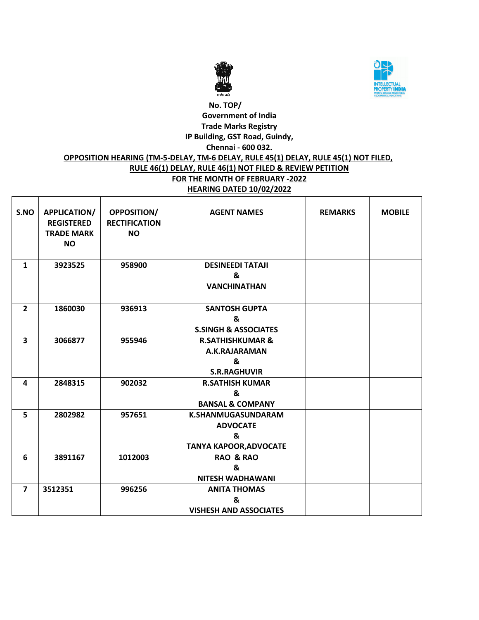



### **No. TOP/ Government of India Trade Marks Registry IP Building, GST Road, Guindy, Chennai - 600 032. OPPOSITION HEARING (TM-5-DELAY, TM-6 DELAY, RULE 45(1) DELAY, RULE 45(1) NOT FILED, RULE 46(1) DELAY, RULE 46(1) NOT FILED & REVIEW PETITION FOR THE MONTH OF FEBRUARY -2022**

**HEARING DATED 10/02/2022**

| S.NO           | <b>APPLICATION/</b><br><b>REGISTERED</b><br><b>TRADE MARK</b><br><b>NO</b> | <b>OPPOSITION/</b><br><b>RECTIFICATION</b><br><b>NO</b> | <b>AGENT NAMES</b>                                                          | <b>REMARKS</b> | <b>MOBILE</b> |
|----------------|----------------------------------------------------------------------------|---------------------------------------------------------|-----------------------------------------------------------------------------|----------------|---------------|
| $\mathbf{1}$   | 3923525                                                                    | 958900                                                  | <b>DESINEEDI TATAJI</b><br>&<br><b>VANCHINATHAN</b>                         |                |               |
| $\overline{2}$ | 1860030                                                                    | 936913                                                  | <b>SANTOSH GUPTA</b><br>&<br><b>S.SINGH &amp; ASSOCIATES</b>                |                |               |
| 3              | 3066877                                                                    | 955946                                                  | <b>R.SATHISHKUMAR &amp;</b><br>A.K.RAJARAMAN<br>&<br><b>S.R.RAGHUVIR</b>    |                |               |
| 4              | 2848315                                                                    | 902032                                                  | <b>R.SATHISH KUMAR</b><br>&<br><b>BANSAL &amp; COMPANY</b>                  |                |               |
| 5              | 2802982                                                                    | 957651                                                  | K.SHANMUGASUNDARAM<br><b>ADVOCATE</b><br>&<br><b>TANYA KAPOOR, ADVOCATE</b> |                |               |
| 6              | 3891167                                                                    | 1012003                                                 | <b>RAO &amp; RAO</b><br>&<br><b>NITESH WADHAWANI</b>                        |                |               |
| $\overline{7}$ | 3512351                                                                    | 996256                                                  | <b>ANITA THOMAS</b><br>&<br><b>VISHESH AND ASSOCIATES</b>                   |                |               |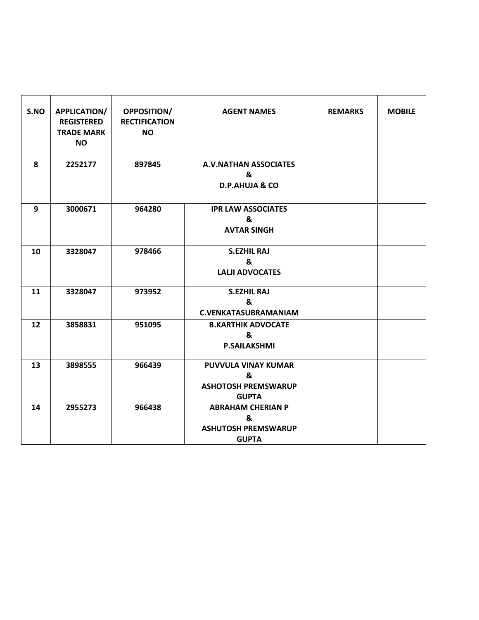| S.NO | APPLICATION/<br><b>REGISTERED</b><br><b>TRADE MARK</b><br><b>NO</b> | <b>OPPOSITION/</b><br><b>RECTIFICATION</b><br><b>NO</b> | <b>AGENT NAMES</b>                                                          | <b>REMARKS</b> | <b>MOBILE</b> |
|------|---------------------------------------------------------------------|---------------------------------------------------------|-----------------------------------------------------------------------------|----------------|---------------|
| 8    | 2252177                                                             | 897845                                                  | <b>A.V.NATHAN ASSOCIATES</b><br>&<br><b>D.P.AHUJA &amp; CO</b>              |                |               |
| 9    | 3000671                                                             | 964280                                                  | <b>IPR LAW ASSOCIATES</b><br>&<br><b>AVTAR SINGH</b>                        |                |               |
| 10   | 3328047                                                             | 978466                                                  | <b>S.EZHIL RAJ</b><br>&<br><b>LALJI ADVOCATES</b>                           |                |               |
| 11   | 3328047                                                             | 973952                                                  | <b>S.EZHIL RAJ</b><br>&<br><b>C.VENKATASUBRAMANIAM</b>                      |                |               |
| 12   | 3858831                                                             | 951095                                                  | <b>B.KARTHIK ADVOCATE</b><br>&<br><b>P.SAILAKSHMI</b>                       |                |               |
| 13   | 3898555                                                             | 966439                                                  | PUVVULA VINAY KUMAR<br>&<br><b>ASHOTOSH PREMSWARUP</b><br><b>GUPTA</b>      |                |               |
| 14   | 2955273                                                             | 966438                                                  | <b>ABRAHAM CHERIAN P</b><br>&<br><b>ASHUTOSH PREMSWARUP</b><br><b>GUPTA</b> |                |               |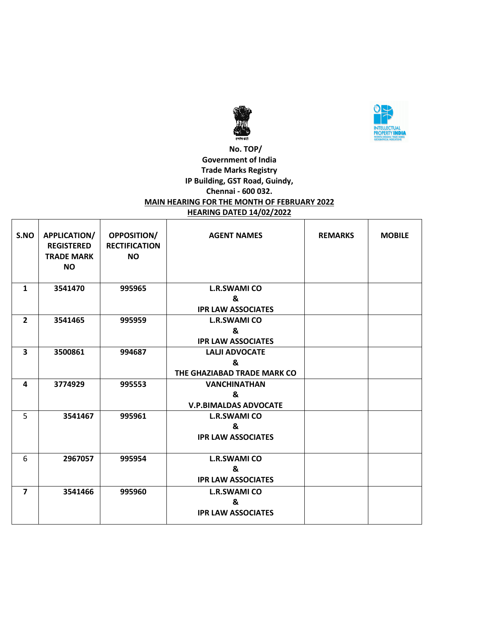



# **No. TOP/ Government of India Trade Marks Registry IP Building, GST Road, Guindy, Chennai - 600 032. MAIN HEARING FOR THE MONTH OF FEBRUARY 2022 HEARING DATED 14/02/2022**

| S.NO           | <b>APPLICATION/</b><br><b>REGISTERED</b><br><b>TRADE MARK</b><br><b>NO</b> | <b>OPPOSITION/</b><br><b>RECTIFICATION</b><br><b>NO</b> | <b>AGENT NAMES</b>           | <b>REMARKS</b> | <b>MOBILE</b> |
|----------------|----------------------------------------------------------------------------|---------------------------------------------------------|------------------------------|----------------|---------------|
| $\mathbf{1}$   | 3541470                                                                    | 995965                                                  | <b>L.R.SWAMI CO</b>          |                |               |
|                |                                                                            |                                                         | &                            |                |               |
|                |                                                                            |                                                         | <b>IPR LAW ASSOCIATES</b>    |                |               |
| $\overline{2}$ | 3541465                                                                    | 995959                                                  | <b>L.R.SWAMI CO</b>          |                |               |
|                |                                                                            |                                                         | &                            |                |               |
|                |                                                                            |                                                         | <b>IPR LAW ASSOCIATES</b>    |                |               |
| 3              | 3500861                                                                    | 994687                                                  | <b>LALJI ADVOCATE</b>        |                |               |
|                |                                                                            |                                                         | &                            |                |               |
|                |                                                                            |                                                         | THE GHAZIABAD TRADE MARK CO  |                |               |
| 4              | 3774929                                                                    | 995553                                                  | <b>VANCHINATHAN</b>          |                |               |
|                |                                                                            |                                                         | &                            |                |               |
|                |                                                                            |                                                         | <b>V.P.BIMALDAS ADVOCATE</b> |                |               |
| 5              | 3541467                                                                    | 995961                                                  | <b>L.R.SWAMI CO</b>          |                |               |
|                |                                                                            |                                                         | &                            |                |               |
|                |                                                                            |                                                         | <b>IPR LAW ASSOCIATES</b>    |                |               |
|                |                                                                            |                                                         |                              |                |               |
| 6              | 2967057                                                                    | 995954                                                  | <b>L.R.SWAMI CO</b>          |                |               |
|                |                                                                            |                                                         | &                            |                |               |
|                |                                                                            |                                                         | <b>IPR LAW ASSOCIATES</b>    |                |               |
| $\overline{7}$ | 3541466                                                                    | 995960                                                  | <b>L.R.SWAMI CO</b>          |                |               |
|                |                                                                            |                                                         | &                            |                |               |
|                |                                                                            |                                                         | <b>IPR LAW ASSOCIATES</b>    |                |               |
|                |                                                                            |                                                         |                              |                |               |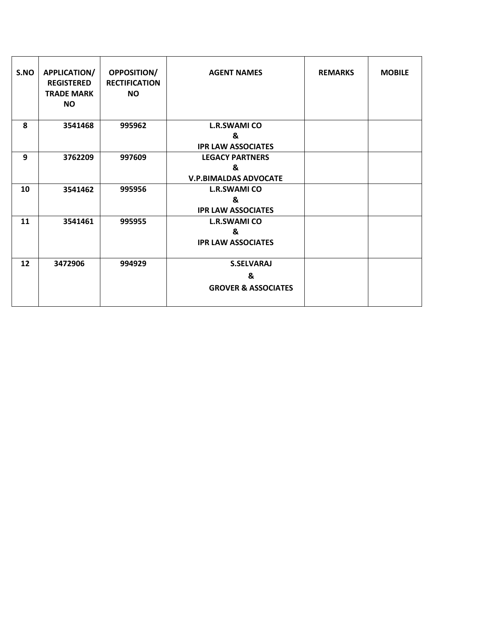| S.NO | <b>APPLICATION/</b><br><b>REGISTERED</b><br><b>TRADE MARK</b><br><b>NO</b> | <b>OPPOSITION/</b><br><b>RECTIFICATION</b><br><b>NO</b> | <b>AGENT NAMES</b>                                          | <b>REMARKS</b> | <b>MOBILE</b> |
|------|----------------------------------------------------------------------------|---------------------------------------------------------|-------------------------------------------------------------|----------------|---------------|
| 8    | 3541468                                                                    | 995962                                                  | <b>L.R.SWAMI CO</b><br>&<br><b>IPR LAW ASSOCIATES</b>       |                |               |
| 9    | 3762209                                                                    | 997609                                                  | <b>LEGACY PARTNERS</b><br>&<br><b>V.P.BIMALDAS ADVOCATE</b> |                |               |
| 10   | 3541462                                                                    | 995956                                                  | <b>L.R.SWAMI CO</b><br>&<br><b>IPR LAW ASSOCIATES</b>       |                |               |
| 11   | 3541461                                                                    | 995955                                                  | <b>L.R.SWAMI CO</b><br>&<br><b>IPR LAW ASSOCIATES</b>       |                |               |
| 12   | 3472906                                                                    | 994929                                                  | <b>S.SELVARAJ</b><br>&<br><b>GROVER &amp; ASSOCIATES</b>    |                |               |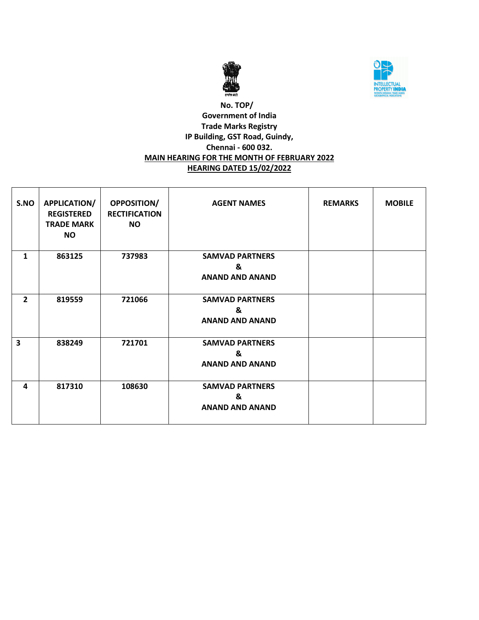



## **No. TOP/ Government of India Trade Marks Registry IP Building, GST Road, Guindy, Chennai - 600 032. MAIN HEARING FOR THE MONTH OF FEBRUARY 2022 HEARING DATED 15/02/2022**

| S.NO                    | <b>APPLICATION/</b><br><b>REGISTERED</b><br><b>TRADE MARK</b><br><b>NO</b> | <b>OPPOSITION/</b><br><b>RECTIFICATION</b><br><b>NO</b> | <b>AGENT NAMES</b>                                    | <b>REMARKS</b> | <b>MOBILE</b> |
|-------------------------|----------------------------------------------------------------------------|---------------------------------------------------------|-------------------------------------------------------|----------------|---------------|
| 1                       | 863125                                                                     | 737983                                                  | <b>SAMVAD PARTNERS</b><br>&<br><b>ANAND AND ANAND</b> |                |               |
| $\overline{2}$          | 819559                                                                     | 721066                                                  | <b>SAMVAD PARTNERS</b><br>&<br><b>ANAND AND ANAND</b> |                |               |
| $\overline{\mathbf{3}}$ | 838249                                                                     | 721701                                                  | <b>SAMVAD PARTNERS</b><br>&<br><b>ANAND AND ANAND</b> |                |               |
| 4                       | 817310                                                                     | 108630                                                  | <b>SAMVAD PARTNERS</b><br>&<br><b>ANAND AND ANAND</b> |                |               |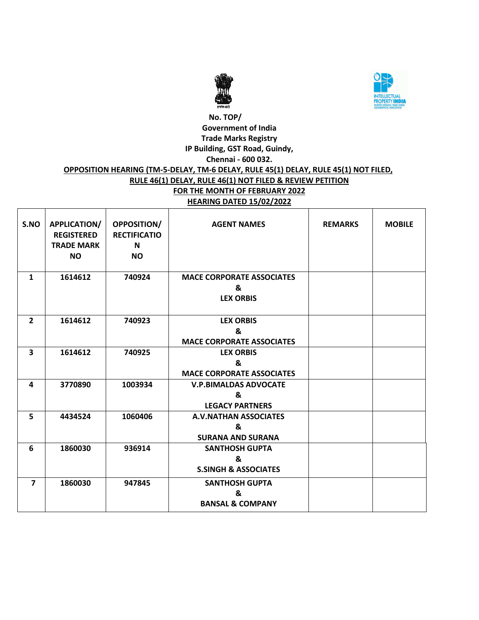



# **No. TOP/ Government of India Trade Marks Registry IP Building, GST Road, Guindy, Chennai - 600 032. OPPOSITION HEARING (TM-5-DELAY, TM-6 DELAY, RULE 45(1) DELAY, RULE 45(1) NOT FILED, RULE 46(1) DELAY, RULE 46(1) NOT FILED & REVIEW PETITION FOR THE MONTH OF FEBRUARY 2022 HEARING DATED 15/02/2022**

| S.NO           | <b>APPLICATION/</b><br><b>REGISTERED</b><br><b>TRADE MARK</b><br><b>NO</b> | <b>OPPOSITION/</b><br><b>RECTIFICATIO</b><br>N<br><b>NO</b> | <b>AGENT NAMES</b>                                        | <b>REMARKS</b> | <b>MOBILE</b> |
|----------------|----------------------------------------------------------------------------|-------------------------------------------------------------|-----------------------------------------------------------|----------------|---------------|
| $\mathbf{1}$   | 1614612                                                                    | 740924                                                      | <b>MACE CORPORATE ASSOCIATES</b><br>&<br><b>LEX ORBIS</b> |                |               |
|                |                                                                            |                                                             |                                                           |                |               |
| $\overline{2}$ | 1614612                                                                    | 740923                                                      | <b>LEX ORBIS</b>                                          |                |               |
|                |                                                                            |                                                             | &                                                         |                |               |
|                |                                                                            |                                                             | <b>MACE CORPORATE ASSOCIATES</b>                          |                |               |
| $\mathbf{3}$   | 1614612                                                                    | 740925                                                      | <b>LEX ORBIS</b>                                          |                |               |
|                |                                                                            |                                                             | &                                                         |                |               |
|                |                                                                            |                                                             | <b>MACE CORPORATE ASSOCIATES</b>                          |                |               |
| 4              | 3770890                                                                    | 1003934                                                     | <b>V.P.BIMALDAS ADVOCATE</b>                              |                |               |
|                |                                                                            |                                                             | &                                                         |                |               |
|                |                                                                            |                                                             | <b>LEGACY PARTNERS</b>                                    |                |               |
| 5              | 4434524                                                                    | 1060406                                                     | <b>A.V.NATHAN ASSOCIATES</b>                              |                |               |
|                |                                                                            |                                                             | &                                                         |                |               |
|                |                                                                            |                                                             | <b>SURANA AND SURANA</b>                                  |                |               |
| 6              | 1860030                                                                    | 936914                                                      | <b>SANTHOSH GUPTA</b>                                     |                |               |
|                |                                                                            |                                                             | &                                                         |                |               |
|                |                                                                            |                                                             | <b>S.SINGH &amp; ASSOCIATES</b>                           |                |               |
| $\overline{7}$ | 1860030                                                                    | 947845                                                      | <b>SANTHOSH GUPTA</b>                                     |                |               |
|                |                                                                            |                                                             | &                                                         |                |               |
|                |                                                                            |                                                             | <b>BANSAL &amp; COMPANY</b>                               |                |               |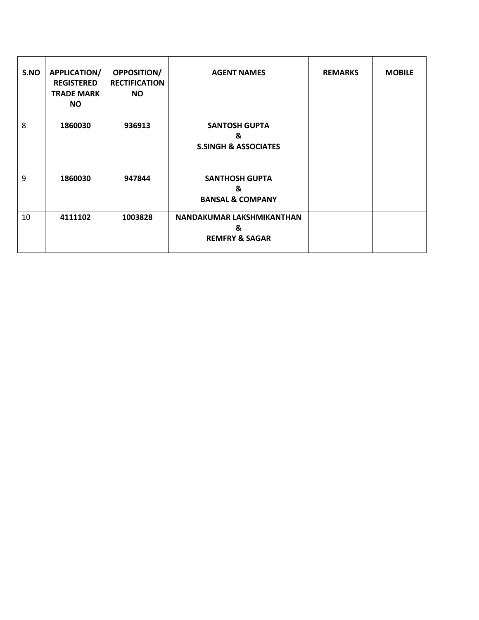| S.NO | <b>APPLICATION/</b><br><b>REGISTERED</b><br><b>TRADE MARK</b><br><b>NO</b> | <b>OPPOSITION/</b><br><b>RECTIFICATION</b><br><b>NO</b> | <b>AGENT NAMES</b>                                           | <b>REMARKS</b> | <b>MOBILE</b> |
|------|----------------------------------------------------------------------------|---------------------------------------------------------|--------------------------------------------------------------|----------------|---------------|
| 8    | 1860030                                                                    | 936913                                                  | <b>SANTOSH GUPTA</b><br>&<br><b>S.SINGH &amp; ASSOCIATES</b> |                |               |
| 9    | 1860030                                                                    | 947844                                                  | <b>SANTHOSH GUPTA</b><br>&<br><b>BANSAL &amp; COMPANY</b>    |                |               |
| 10   | 4111102                                                                    | 1003828                                                 | NANDAKUMAR LAKSHMIKANTHAN<br>&<br><b>REMFRY &amp; SAGAR</b>  |                |               |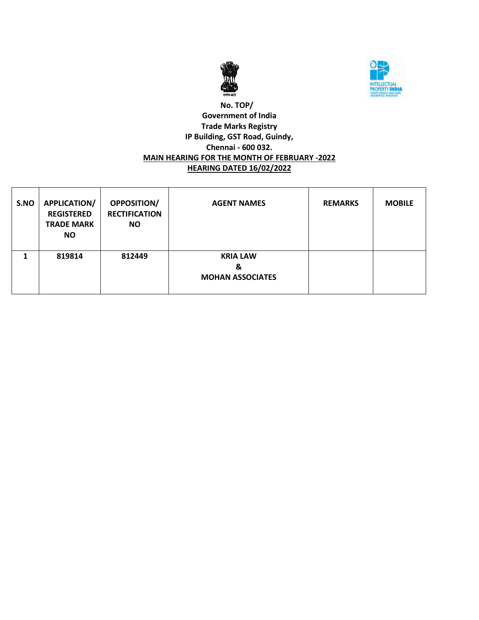



## **No. TOP/ Government of India Trade Marks Registry IP Building, GST Road, Guindy, Chennai - 600 032. MAIN HEARING FOR THE MONTH OF FEBRUARY -2022 HEARING DATED 16/02/2022**

| S.NO | <b>APPLICATION/</b><br><b>REGISTERED</b><br><b>TRADE MARK</b><br>NO. | <b>OPPOSITION/</b><br><b>RECTIFICATION</b><br><b>NO</b> | <b>AGENT NAMES</b>                              | <b>REMARKS</b> | <b>MOBILE</b> |
|------|----------------------------------------------------------------------|---------------------------------------------------------|-------------------------------------------------|----------------|---------------|
|      | 819814                                                               | 812449                                                  | <b>KRIA LAW</b><br>&<br><b>MOHAN ASSOCIATES</b> |                |               |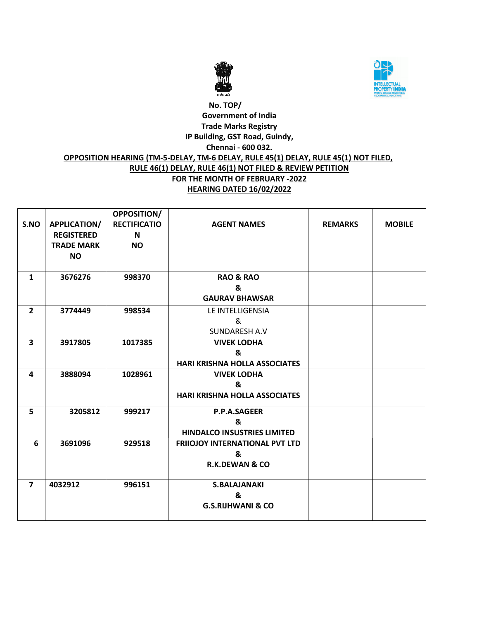



# **No. TOP/ Government of India Trade Marks Registry IP Building, GST Road, Guindy, Chennai - 600 032. OPPOSITION HEARING (TM-5-DELAY, TM-6 DELAY, RULE 45(1) DELAY, RULE 45(1) NOT FILED, RULE 46(1) DELAY, RULE 46(1) NOT FILED & REVIEW PETITION FOR THE MONTH OF FEBRUARY -2022 HEARING DATED 16/02/2022**

|                |                     | <b>OPPOSITION/</b>  |                                       |                |               |
|----------------|---------------------|---------------------|---------------------------------------|----------------|---------------|
| S.NO           | <b>APPLICATION/</b> | <b>RECTIFICATIO</b> | <b>AGENT NAMES</b>                    | <b>REMARKS</b> | <b>MOBILE</b> |
|                | <b>REGISTERED</b>   | N                   |                                       |                |               |
|                | <b>TRADE MARK</b>   | <b>NO</b>           |                                       |                |               |
|                | <b>NO</b>           |                     |                                       |                |               |
|                |                     |                     |                                       |                |               |
| $\mathbf{1}$   | 3676276             | 998370              | <b>RAO &amp; RAO</b>                  |                |               |
|                |                     |                     | &                                     |                |               |
|                |                     |                     | <b>GAURAV BHAWSAR</b>                 |                |               |
| $\overline{2}$ | 3774449             | 998534              | LE INTELLIGENSIA                      |                |               |
|                |                     |                     | &                                     |                |               |
|                |                     |                     | SUNDARESH A.V                         |                |               |
| 3              | 3917805             | 1017385             | <b>VIVEK LODHA</b>                    |                |               |
|                |                     |                     | &                                     |                |               |
|                |                     |                     | <b>HARI KRISHNA HOLLA ASSOCIATES</b>  |                |               |
| 4              | 3888094             | 1028961             | <b>VIVEK LODHA</b>                    |                |               |
|                |                     |                     | &                                     |                |               |
|                |                     |                     | <b>HARI KRISHNA HOLLA ASSOCIATES</b>  |                |               |
| 5              | 3205812             | 999217              | P.P.A.SAGEER                          |                |               |
|                |                     |                     | &                                     |                |               |
|                |                     |                     | <b>HINDALCO INSUSTRIES LIMITED</b>    |                |               |
| 6              | 3691096             | 929518              | <b>FRIIOJOY INTERNATIONAL PVT LTD</b> |                |               |
|                |                     |                     | &                                     |                |               |
|                |                     |                     | <b>R.K.DEWAN &amp; CO</b>             |                |               |
|                |                     |                     |                                       |                |               |
| $\overline{7}$ | 4032912             | 996151              | <b>S.BALAJANAKI</b>                   |                |               |
|                |                     |                     | &                                     |                |               |
|                |                     |                     | <b>G.S.RIJHWANI &amp; CO</b>          |                |               |
|                |                     |                     |                                       |                |               |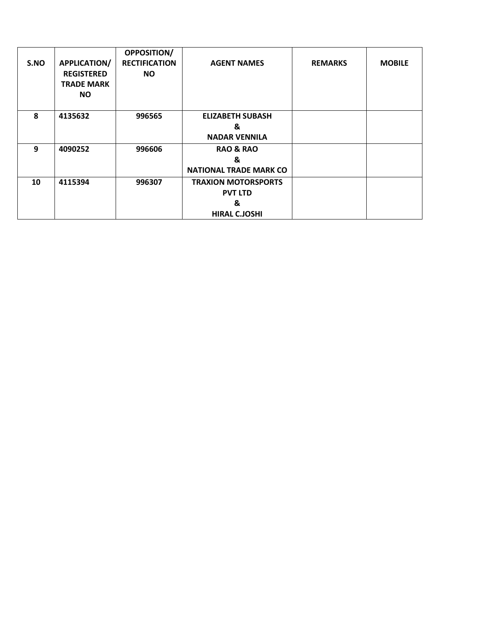| S.NO | <b>APPLICATION/</b><br><b>REGISTERED</b><br><b>TRADE MARK</b><br><b>NO</b> | OPPOSITION/<br><b>RECTIFICATION</b><br><b>NO</b> | <b>AGENT NAMES</b>                                                        | <b>REMARKS</b> | <b>MOBILE</b> |
|------|----------------------------------------------------------------------------|--------------------------------------------------|---------------------------------------------------------------------------|----------------|---------------|
| 8    | 4135632                                                                    | 996565                                           | <b>ELIZABETH SUBASH</b><br>&<br><b>NADAR VENNILA</b>                      |                |               |
| 9    | 4090252                                                                    | 996606                                           | <b>RAO &amp; RAO</b><br>&<br><b>NATIONAL TRADE MARK CO</b>                |                |               |
| 10   | 4115394                                                                    | 996307                                           | <b>TRAXION MOTORSPORTS</b><br><b>PVT LTD</b><br>&<br><b>HIRAL C.JOSHI</b> |                |               |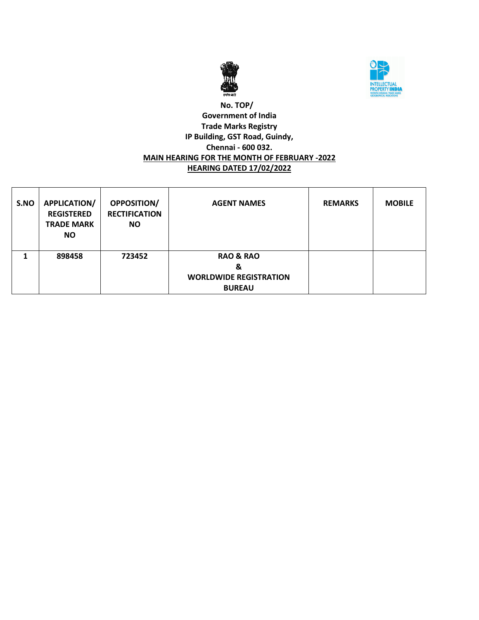



## **No. TOP/ Government of India Trade Marks Registry IP Building, GST Road, Guindy, Chennai - 600 032. MAIN HEARING FOR THE MONTH OF FEBRUARY -2022 HEARING DATED 17/02/2022**

| S.NO | <b>APPLICATION/</b><br><b>REGISTERED</b><br><b>TRADE MARK</b><br>NO. | <b>OPPOSITION/</b><br><b>RECTIFICATION</b><br><b>NO</b> | <b>AGENT NAMES</b>                                                          | <b>REMARKS</b> | <b>MOBILE</b> |
|------|----------------------------------------------------------------------|---------------------------------------------------------|-----------------------------------------------------------------------------|----------------|---------------|
|      | 898458                                                               | 723452                                                  | <b>RAO &amp; RAO</b><br>&<br><b>WORLDWIDE REGISTRATION</b><br><b>BUREAU</b> |                |               |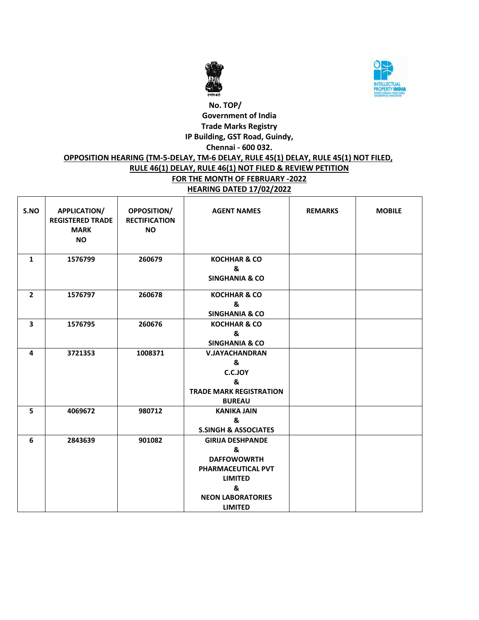



# **No. TOP/ Government of India Trade Marks Registry IP Building, GST Road, Guindy, Chennai - 600 032. OPPOSITION HEARING (TM-5-DELAY, TM-6 DELAY, RULE 45(1) DELAY, RULE 45(1) NOT FILED, RULE 46(1) DELAY, RULE 46(1) NOT FILED & REVIEW PETITION FOR THE MONTH OF FEBRUARY -2022 HEARING DATED 17/02/2022**

| S.NO           | <b>APPLICATION/</b><br><b>REGISTERED TRADE</b><br><b>MARK</b><br><b>NO</b> | OPPOSITION/<br><b>RECTIFICATION</b><br><b>NO</b> | <b>AGENT NAMES</b>                                                                                                                            | <b>REMARKS</b> | <b>MOBILE</b> |
|----------------|----------------------------------------------------------------------------|--------------------------------------------------|-----------------------------------------------------------------------------------------------------------------------------------------------|----------------|---------------|
| $\mathbf{1}$   | 1576799                                                                    | 260679                                           | <b>KOCHHAR &amp; CO</b><br>&<br><b>SINGHANIA &amp; CO</b>                                                                                     |                |               |
| $\overline{2}$ | 1576797                                                                    | 260678                                           | <b>KOCHHAR &amp; CO</b><br>&<br><b>SINGHANIA &amp; CO</b>                                                                                     |                |               |
| 3              | 1576795                                                                    | 260676                                           | <b>KOCHHAR &amp; CO</b><br>&<br><b>SINGHANIA &amp; CO</b>                                                                                     |                |               |
| 4              | 3721353                                                                    | 1008371                                          | <b>V.JAYACHANDRAN</b><br>&<br><b>C.C.JOY</b><br>&<br><b>TRADE MARK REGISTRATION</b><br><b>BUREAU</b>                                          |                |               |
| 5              | 4069672                                                                    | 980712                                           | <b>KANIKA JAIN</b><br>&<br><b>S.SINGH &amp; ASSOCIATES</b>                                                                                    |                |               |
| 6              | 2843639                                                                    | 901082                                           | <b>GIRIJA DESHPANDE</b><br>&<br><b>DAFFOWOWRTH</b><br>PHARMACEUTICAL PVT<br><b>LIMITED</b><br>&<br><b>NEON LABORATORIES</b><br><b>LIMITED</b> |                |               |